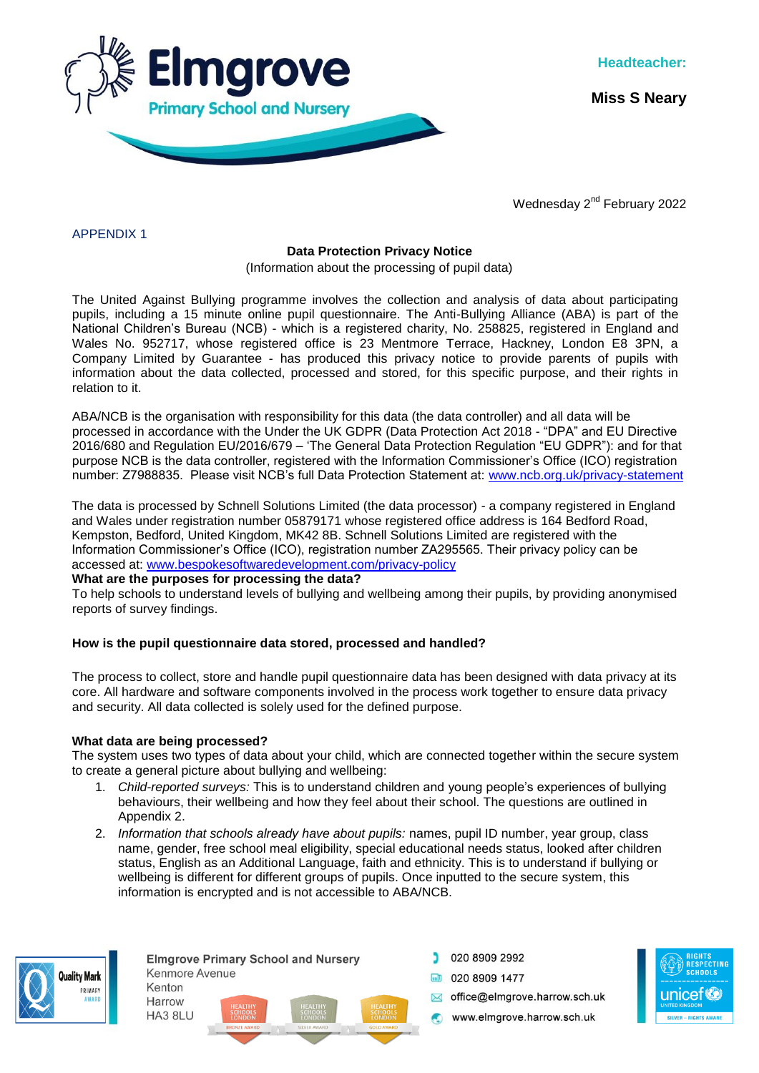

**Miss S Neary**

Wednesday 2<sup>nd</sup> February 2022

APPENDIX 1

## **Data Protection Privacy Notice**

(Information about the processing of pupil data)

The United Against Bullying programme involves the collection and analysis of data about participating pupils, including a 15 minute online pupil questionnaire. The Anti-Bullying Alliance (ABA) is part of the National Children's Bureau (NCB) - which is a registered charity, No. 258825, registered in England and Wales No. 952717, whose registered office is 23 Mentmore Terrace, Hackney, London E8 3PN, a Company Limited by Guarantee - has produced this privacy notice to provide parents of pupils with information about the data collected, processed and stored, for this specific purpose, and their rights in relation to it.

ABA/NCB is the organisation with responsibility for this data (the data controller) and all data will be processed in accordance with the Under the UK GDPR (Data Protection Act 2018 - "DPA" and EU Directive 2016/680 and Regulation EU/2016/679 – 'The General Data Protection Regulation "EU GDPR"): and for that purpose NCB is the data controller, registered with the Information Commissioner's Office (ICO) registration number: Z7988835. Please visit NCB's full Data Protection Statement at: [www.ncb.org.uk/privacy-statement](http://www.ncb.org.uk/privacy-statement)

The data is processed by Schnell Solutions Limited (the data processor) - a company registered in England and Wales under registration number 05879171 whose registered office address is 164 Bedford Road, Kempston, Bedford, United Kingdom, MK42 8B. Schnell Solutions Limited are registered with the Information Commissioner's Office (ICO), registration number ZA295565. Their privacy policy can be accessed at: [www.bespokesoftwaredevelopment.com/privacy-policy](file:///C:/Users/nmurray/AppData/Local/Microsoft/Windows/INetCache/Content.Outlook/FAWTEO7W/www.bespokesoftwaredevelopment.com/privacy-policy)

## **What are the purposes for processing the data?**

To help schools to understand levels of bullying and wellbeing among their pupils, by providing anonymised reports of survey findings.

# **How is the pupil questionnaire data stored, processed and handled?**

The process to collect, store and handle pupil questionnaire data has been designed with data privacy at its core. All hardware and software components involved in the process work together to ensure data privacy and security. All data collected is solely used for the defined purpose.

## **What data are being processed?**

HA3 8LU

The system uses two types of data about your child, which are connected together within the secure system to create a general picture about bullying and wellbeing:

- 1. *Child-reported surveys:* This is to understand children and young people's experiences of bullying behaviours, their wellbeing and how they feel about their school. The questions are outlined in Appendix 2.
- 2. *Information that schools already have about pupils:* names, pupil ID number, year group, class name, gender, free school meal eligibility, special educational needs status, looked after children status, English as an Additional Language, faith and ethnicity. This is to understand if bullying or wellbeing is different for different groups of pupils. Once inputted to the secure system, this information is encrypted and is not accessible to ABA/NCB.



**Elmarove Primary School and Nursery** Kenmore Avenue Kenton Harrow

- 020 8909 2992 **ED** 020 8909 1477
	- office@eImgrove.harrow.sch.uk
	- www.elmgrove.harrow.sch.uk

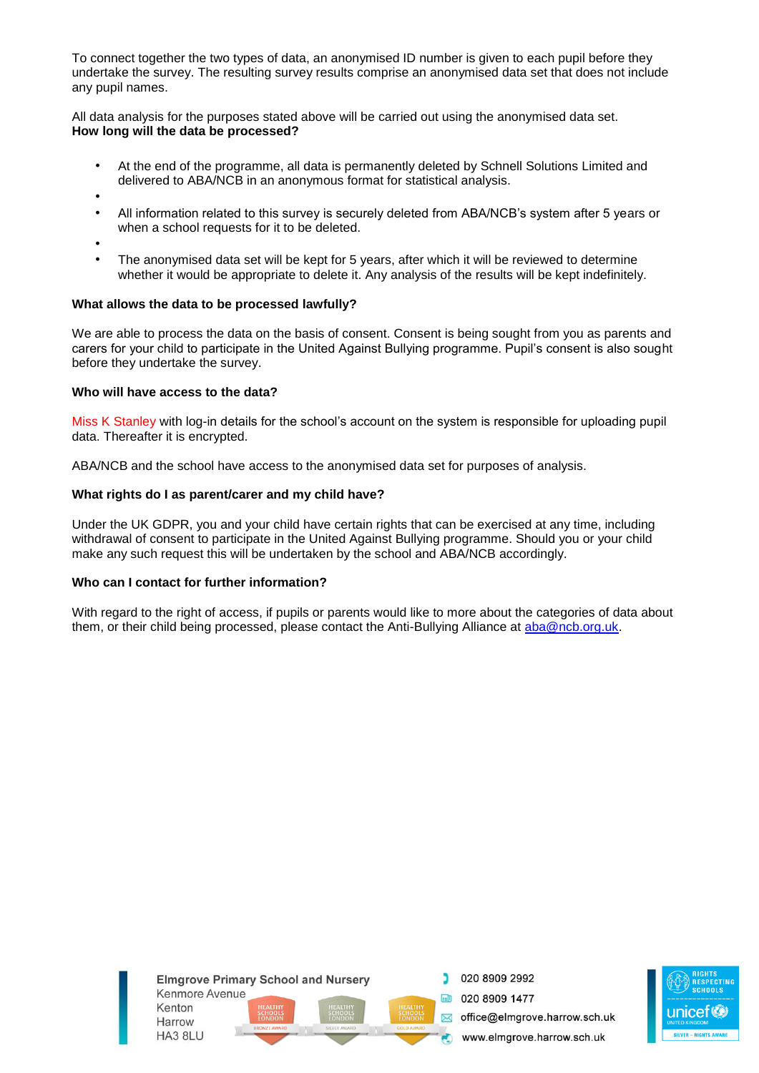To connect together the two types of data, an anonymised ID number is given to each pupil before they undertake the survey. The resulting survey results comprise an anonymised data set that does not include any pupil names.

All data analysis for the purposes stated above will be carried out using the anonymised data set. **How long will the data be processed?** 

- At the end of the programme, all data is permanently deleted by Schnell Solutions Limited and delivered to ABA/NCB in an anonymous format for statistical analysis.
- •
- All information related to this survey is securely deleted from ABA/NCB's system after 5 years or when a school requests for it to be deleted.
- •
- The anonymised data set will be kept for 5 years, after which it will be reviewed to determine whether it would be appropriate to delete it. Any analysis of the results will be kept indefinitely.

## **What allows the data to be processed lawfully?**

We are able to process the data on the basis of consent. Consent is being sought from you as parents and carers for your child to participate in the United Against Bullying programme. Pupil's consent is also sought before they undertake the survey.

#### **Who will have access to the data?**

Miss K Stanley with log-in details for the school's account on the system is responsible for uploading pupil data. Thereafter it is encrypted.

ABA/NCB and the school have access to the anonymised data set for purposes of analysis.

## **What rights do I as parent/carer and my child have?**

Under the UK GDPR, you and your child have certain rights that can be exercised at any time, including withdrawal of consent to participate in the United Against Bullying programme. Should you or your child make any such request this will be undertaken by the school and ABA/NCB accordingly.

#### **Who can I contact for further information?**

With regard to the right of access, if pupils or parents would like to more about the categories of data about them, or their child being processed, please contact the Anti-Bullying Alliance at [aba@ncb.org.uk.](mailto:aba@ncb.org.uk)